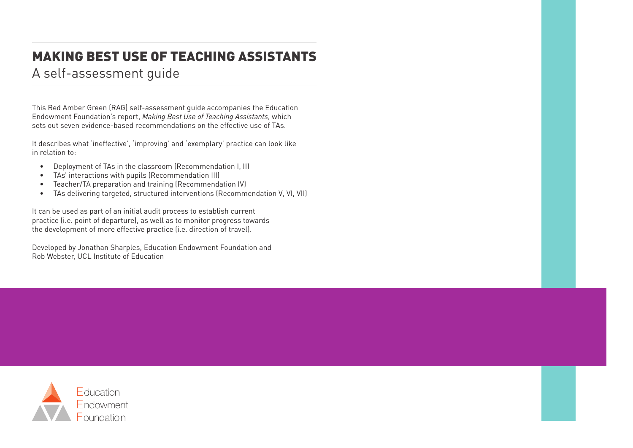# MAKING BEST USE OF TEACHING ASSISTANTS

# A self-assessment guide

This Red Amber Green (RAG) self-assessment guide accompanies the Education Endowment Foundation's report, *Making Best Use of Teaching Assistants*, which sets out seven evidence-based recommendations on the effective use of TAs.

It describes what 'ineffective', 'improving' and 'exemplary' practice can look like in relation to:

- Deployment of TAs in the classroom (Recommendation I, II)
- TAs' interactions with pupils (Recommendation III)
- Teacher/TA preparation and training (Recommendation IV)
- TAs delivering targeted, structured interventions (Recommendation V, VI, VII)

It can be used as part of an initial audit process to establish current practice (i.e. point of departure), as well as to monitor progress towards the development of more effective practice (i.e. direction of travel).

Developed by Jonathan Sharples, Education Endowment Foundation and Rob Webster, UCL Institute of Education

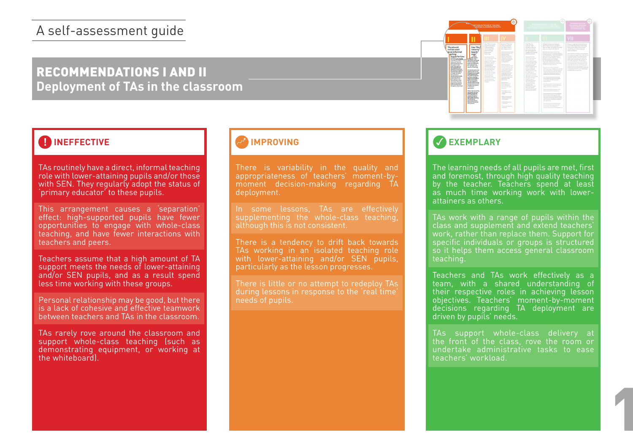# RECOMMENDATIONS I AND II **Deployment of TAs in the classroom**

## **! INEFFECTIVE**

TAs routinely have a direct, informal teaching role with lower-attaining pupils and/or those with SEN. They regularly adopt the status of 'primary educator' to these pupils.

This arrangement causes a 'separation' effect: high-supported pupils have fewer opportunities to engage with whole-class teaching, and have fewer interactions with teachers and peers.

Teachers assume that a high amount of TA support meets the needs of lower-attaining and/or SEN pupils, and as a result spend less time working with these groups.

Personal relationship may be good, but there is a lack of cohesive and effective teamwork between teachers and TAs in the classroom.

TAs rarely rove around the classroom and support whole-class teaching (such as demonstrating equipment, or working at the whiteboard).

#### **IMPROVING**

There is variability in the quality and appropriateness of teachers' moment-bymoment decision-making regarding TA deployment.

In some lessons, TAs are effectively supplementing the whole-class teaching, although this is not consistent.

There is a tendency to drift back towards TAs working in an isolated teaching role with lower-attaining and/or SEN pupils, particularly as the lesson progresses.

during lessons in response to the 'real time' needs of pupils.

## **EXEMPLARY**

Where This are world<br>interactionally with low<br>affiniting pupils then<br>affinite pupils then<br>responsible that<br>the summarized but<br>afforeing interaction<br>interactional controls of

TAS should<br>not be used<br>with the used<br>with the control of the best state of the state of the state<br>with the control of the state of the state of the state of the state of the state of the state of the state of the state of

The learning needs of all pupils are met, first and foremost, through high quality teaching by the teacher. Teachers spend at least as much time working work with lowerattainers as others.

During Import<br>program (or Ha Hand The supervision)<br>Schement (or Hand The supervision)<br>- Concerpts, fact<br>integrity for Integrity<br>Integrity

 $\begin{array}{r} \text{target} \\ \text{split} \\ \text{split} \\ \text{product} \\ \text{or} \\ \text{of} \\ \text{of} \\ \text{in} \\ \text{in} \\ \text{in} \\ \text{in} \\ \text{in} \\ \text{in} \\ \text{in} \\ \text{in} \\ \text{in} \\ \text{in} \\ \text{in} \\ \text{in} \\ \text{in} \\ \text{in} \\ \text{in} \\ \text{in} \\ \text{in} \\ \text{in} \\ \text{in} \\ \text{in} \\ \text{in} \\ \text{in} \\ \text{in} \\ \text{in} \\ \text{in} \\ \text{in} \\ \text{in} \\ \text{in} \\ \text{$ 

 $\begin{array}{l} \text{Use TAS 10} \\ \text{Use RAS 10} \\ \text{cosion} \\ \text{of } \text{and} \\ \text{gauge} \\ \text{gauge} \\ \text{gauge} \\ \text{using } \text{gauge} \\ \text{of } \text{and} \\ \text{using } \text{gauge} \\ \text{of } \text{and} \\ \text{of } \text{and} \\ \text{of } \text{and} \\ \text{of } \text{and} \\ \text{of } \text{and} \\ \text{of } \text{and} \\ \text{of } \text{and} \\ \text{of } \text{and} \\ \text{of } \text{and} \\ \text{of } \text{and} \\ \text{of } \text$ 

TAs work with a range of pupils within the class and supplement and extend teachers' work, rather than replace them. Support for specific individuals or groups is structured so it helps them access general classroom teaching.

Teachers and TAs work effectively as a team, with a shared understanding of their respective roles in achieving lesson objectives. Teachers' moment-by-moment decisions regarding TA deployment are driven by pupils' needs.

TAs support whole-class delivery at the front of the class, rove the room or undertake administrative tasks to ease teachers' workload.

1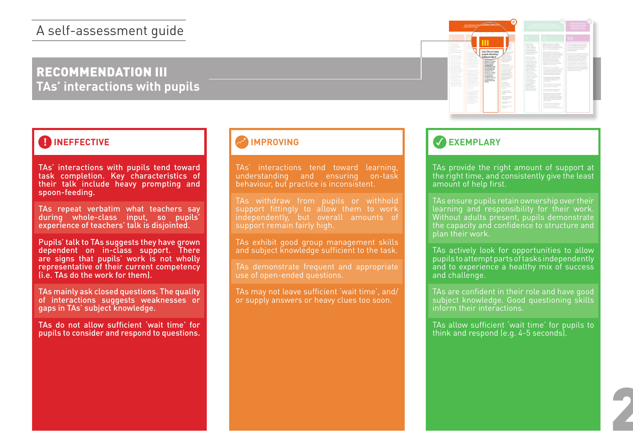# RECOMMENDATION III **TAs' interactions with pupils**

## **A INEFFECTIVE**

TAs' interactions with pupils tend toward task completion. Key characteristics of their talk include heavy prompting and spoon-feeding.

TAs repeat verbatim what teachers say during whole-class input, so pupils' experience of teachers' talk is disjointed.

Pupils' talk to TAs suggests they have grown dependent on in-class support. There are signs that pupils' work is not wholly representative of their current competency (i.e. TAs do the work for them).

TAs mainly ask closed questions. The quality of interactions suggests weaknesses or gaps in TAs' subject knowledge.

TAs do not allow sufficient 'wait time' for pupils to consider and respond to questions.

#### **IMPROVING**

TAs' interactions tend toward learning, understanding and ensuring on-task behaviour, but practice is inconsistent.

TAs withdraw from pupils or withhold support fittingly to allow them to work independently, but overall amounts of support remain fairly high.

TAs exhibit good group management skills and subject knowledge sufficient to the task.

TAs demonstrate frequent and appropriate use of open-ended questions.

TAs may not leave sufficient 'wait time', and/ or supply answers or heavy clues too soon.



# **EXEMPLARY**

TAs provide the right amount of support at the right time, and consistently give the least amount of help first.

TAs ensure pupils retain ownership over their learning and responsibility for their work. Without adults present, pupils demonstrate the capacity and confidence to structure and plan their work.

TAs actively look for opportunities to allow pupils to attempt parts of tasks independently and to experience a healthy mix of success and challenge.

TAs are confident in their role and have good subject knowledge. Good questioning skills inform their interactions.

TAs allow sufficient 'wait time' for pupils to think and respond (e.g. 4-5 seconds).

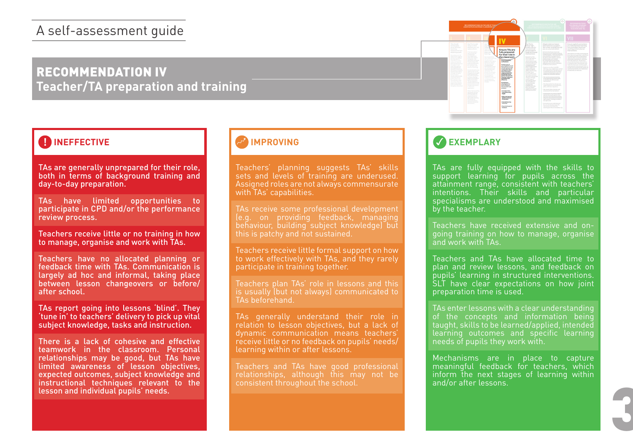# RECOMMENDATION IV **Teacher/TA preparation and training**

## **EXEMPLARY**

TAs are generally unprepared for their role, both in terms of background training and day-to-day preparation.

TAs have limited opportunities to participate in CPD and/or the performance review process.

Teachers receive little or no training in how to manage, organise and work with TAs.

Teachers have no allocated planning or feedback time with TAs. Communication is largely ad hoc and informal, taking place between lesson changeovers or before/ after school.

TAs report going into lessons 'blind'. They 'tune in' to teachers' delivery to pick up vital subject knowledge, tasks and instruction.

There is a lack of cohesive and effective teamwork in the classroom. Personal relationships may be good, but TAs have limited awareness of lesson objectives, expected outcomes, subject knowledge and instructional techniques relevant to the lesson and individual pupils' needs.<br>Lesson and individual pupils' needs.

#### **IMPROVING**

Teachers' planning suggests TAs' skills sets and levels of training are underused. Assigned roles are not always commensurate with TAs' capabilities.

TAs receive some professional development (e.g. on providing feedback, managing behaviour, building subject knowledge) but this is patchy and not sustained.

Teachers receive little formal support on how to work effectively with TAs, and they rarely participate in training together.

Teachers plan TAs' role in lessons and this is usually (but not always) communicated to TAs beforehand.

TAs generally understand their role in relation to lesson objectives, but a lack of dynamic communication means teachers' receive little or no feedback on pupils' needs/ learning within or after lessons.

Teachers and TAs have good professional relationships, although this may not be consistent throughout the school.

TAs are fully equipped with the skills to support learning for pupils across the attainment range, consistent with teachers' intentions. Their skills and particular specialisms are understood and maximised by the teacher.

Teachers have received extensive and ongoing training on how to manage, organise and work with TAs.

Teachers and TAs have allocated time to plan and review lessons, and feedback on pupils' learning in structured interventions. SLT have clear expectations on how joint preparation time is used.

TAs enter lessons with a clear understanding of the concepts and information being taught, skills to be learned/applied, intended learning outcomes and specific learning needs of pupils they work with.

Mechanisms are in place to capture meaningful feedback for teachers, which inform the next stages of learning within and/or after lessons.